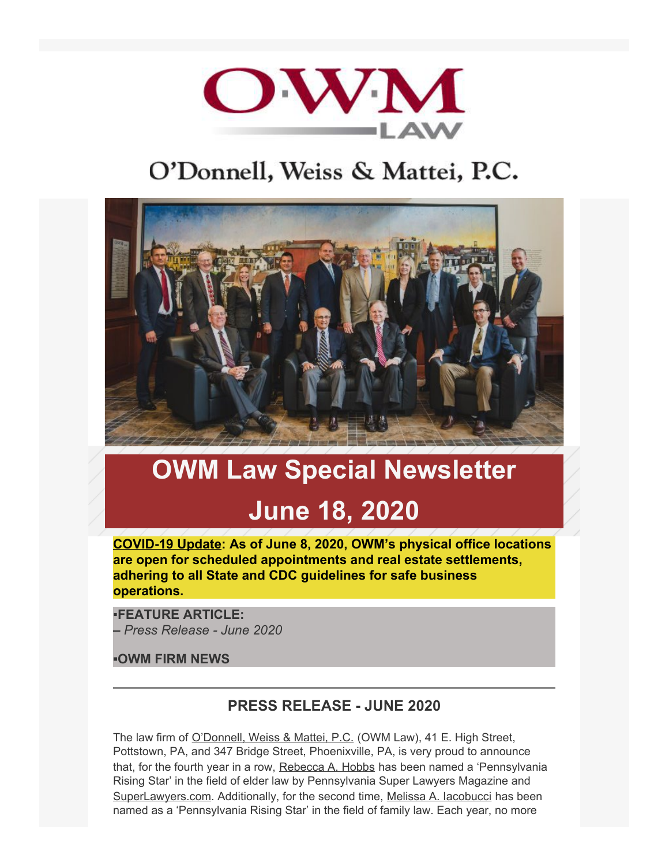

# O'Donnell, Weiss & Mattei, P.C.



# **OWM Law Special Newsletter June 18, 2020**

**COVID-19 Update: As of June 8, 2020, OWM's physical office locations are open for scheduled appointments and real estate settlements, adhering to all State and CDC guidelines for safe business operations.** 

▪**FEATURE ARTICLE: –** *Press Release - June 2020*

**▪OWM FIRM NEWS**

## **PRESS RELEASE - JUNE 2020**

The law firm of [O'Donnell, Weiss & Mattei, P.C.](https://www.owmlaw.com/) (OWM Law), 41 E. High Street, Pottstown, PA, and 347 Bridge Street, Phoenixville, PA, is very proud to announce that, for the fourth year in a row, [Rebecca A. Hobbs](https://www.owmlaw.com/attorney/hobbs-rebecca-a-cela/) has been named a 'Pennsylvania Rising Star' in the field of elder law by Pennsylvania Super Lawyers Magazine and [SuperLawyers.com](https://app.icontact.com/icp/core/fusion/messages/SuperLawyers.com). Additionally, for the second time, Melissa A. lacobucci has been named as a 'Pennsylvania Rising Star' in the field of family law. Each year, no more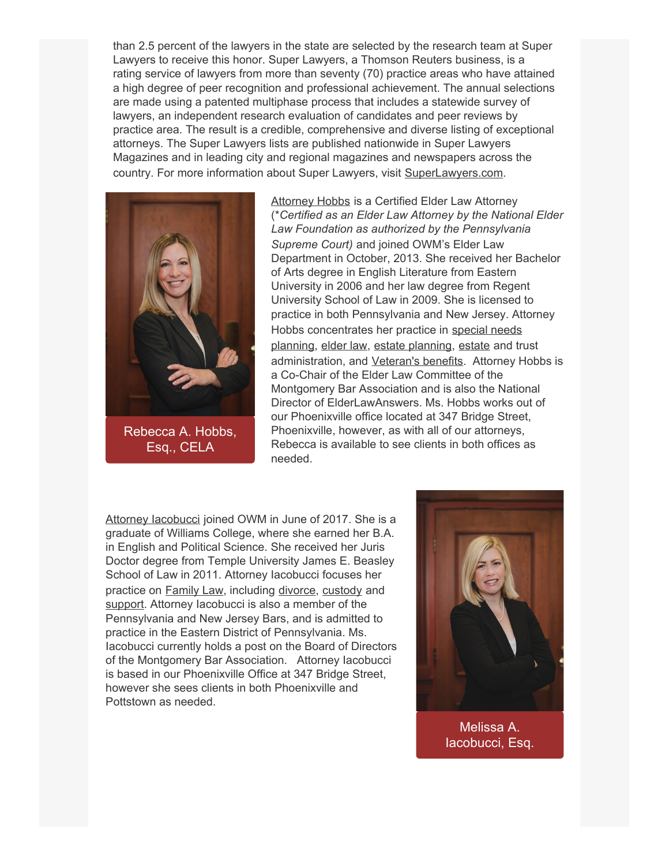than 2.5 percent of the lawyers in the state are selected by the research team at Super Lawyers to receive this honor. Super Lawyers, a Thomson Reuters business, is a rating service of lawyers from more than seventy (70) practice areas who have attained a high degree of peer recognition and professional achievement. The annual selections are made using a patented multiphase process that includes a statewide survey of lawyers, an independent research evaluation of candidates and peer reviews by practice area. The result is a credible, comprehensive and diverse listing of exceptional attorneys. The Super Lawyers lists are published nationwide in Super Lawyers Magazines and in leading city and regional magazines and newspapers across the country. For more information about Super Lawyers, visit [SuperLawyers.com](file:///C|/Users/bbolognese/Downloads/SuperLawyers.com).



[Attorney Hobbs](https://www.owmlaw.com/attorney/hobbs-rebecca-a-cela/) is a Certified Elder Law Attorney (\**Certified as an Elder Law Attorney by the National Elder Law Foundation as authorized by the Pennsylvania Supreme Court)* and joined OWM's Elder Law Department in October, 2013. She received her Bachelor of Arts degree in English Literature from Eastern University in 2006 and her law degree from Regent University School of Law in 2009. She is licensed to practice in both Pennsylvania and New Jersey. Attorney Hobbs concentrates her practice in [special needs](https://www.owmlaw.com/elder-law-special-needs-planning/special-needs-planning/) [planning](https://www.owmlaw.com/elder-law-special-needs-planning/special-needs-planning/), [elder law](https://www.owmlaw.com/elder-law-special-needs-planning/special-needs-planning/), [estate planning](https://www.owmlaw.com/wills-trusts-estate-planning/), [estate](https://www.owmlaw.com/probate-estate-administration/) and trust administration, and [Veteran's benefits](https://www.owmlaw.com/elder-law-special-needs-planning/veterans-benefits/). Attorney Hobbs is a Co-Chair of the Elder Law Committee of the Montgomery Bar Association and is also the National Director of ElderLawAnswers. Ms. Hobbs works out of our Phoenixville office located at 347 Bridge Street, Phoenixville, however, as with all of our attorneys, Rebecca is available to see clients in both offices as needed.

[Attorney Iacobucci](https://www.owmlaw.com/attorney/iacobucci-melissa-a/) joined OWM in June of 2017. She is a graduate of Williams College, where she earned her B.A. in English and Political Science. She received her Juris Doctor degree from Temple University James E. Beasley School of Law in 2011. Attorney Iacobucci focuses her practice on [Family Law](https://www.owmlaw.com/family-law/), including [divorce](https://www.owmlaw.com/family-law/divorce/), [custody](https://www.owmlaw.com/family-law/custody/) and [support.](https://www.owmlaw.com/family-law/support/) Attorney Iacobucci is also a member of the Pennsylvania and New Jersey Bars, and is admitted to practice in the Eastern District of Pennsylvania. Ms. Iacobucci currently holds a post on the Board of Directors of the Montgomery Bar Association. Attorney Iacobucci is based in our Phoenixville Office at 347 Bridge Street, however she sees clients in both Phoenixville and Pottstown as needed.



[Melissa A.](https://www.owmlaw.com/attorney/iacobucci-melissa-a/) [Iacobucci, Esq.](https://www.owmlaw.com/attorney/iacobucci-melissa-a/)